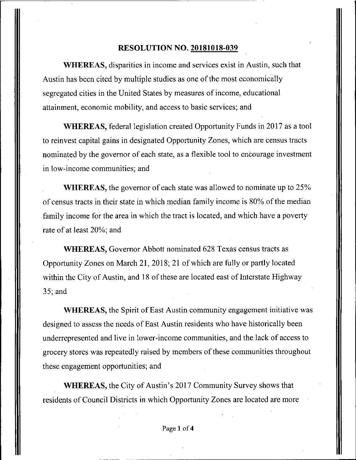#### **RESOLUTION NO. 20181018-039**

WHEREAS, disparities in income and services exist in Austin, such that Austin has been cited by multiple studies as one of the most economically segregated cities in the United States by measures of income, educational attainment, economic mobility, and access to basic services; and

WHEREAS, federal legislation created Opportunity Funds in 2017 as a tool to reinvest capital gains in designated Opportunity Zones, which are census tracts nominated by the governor of each state, as a flexible tool to encourage investment in low-income communities; and

WHEREAS, the governor of each state was allowed to nominate up to 25% of census tracts in their state in which median family income is 80% of the median family income for the area in which the tract is located, and which have a poverty rate of at least 20%; and

WHEREAS, Governor Abbott nominated 628 Texas census tracts as Opportunity Zones on March 21, 2018; 21 of which are fially or partly located within the City of Austin, and 18 of these are located east of Interstate Highway 35; and

WHEREAS, the Spirit of East Austin community engagement initiative was designed to assess the needs of East Austin residents who have historically been underrepresented and live in lower-income communities, and the lack of access to grocery stores was repeatedly raised by members of these communities throughout these engagement opportunities; and

WHEREAS, the City of Austin's 2017 Community Survey shows that residents of Council Districts in which Opportunity Zones are located are more

Page 1 of 4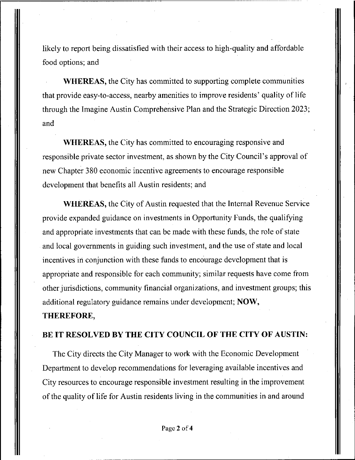likely to report being dissatisfied with their access to high-quality and affordable food options; and

WHEREAS, the City has committed to supporting complete communities that provide easy-to-access, nearby amenities to improve residents' quality of life through the Imagine Austin Comprehensive Plan and the Strategic Direction 2023; and

WHEREAS, the City has committed to encouraging responsive and responsible private sector investment, as shown by the City Council's approval of new Chapter 380 economic incentive agreements to encourage responsible development that benefits all Austin residents; and

**WHEREAS, the City of Austin requested that the Internal Revenue Service provide expanded guidance on investments in Opportunity Funds, the qualifying and appropriate investments that can be made with these funds, the role of state and local governments in guiding such investment, and the use of state and local incentives in conjunction with these funds to encourage development that is appropriate and responsible for each community; similar requests have come from other jurisdictions, community financial organizations, and investment groups; this additional regulatory guidance remains under development; NOW,** 

## **THEREFORE,**

### **BE IT RESOLVED BY THE CITY COUNCIL OF THE CITY OF AUSTIN:**

The City directs the City Manager to work with the Economic Development Department to develop recommendations for leveraging available incentives and City resources to encourage responsible investment resulting in the improvement of the quality of life for Austin residents living in the communities in and around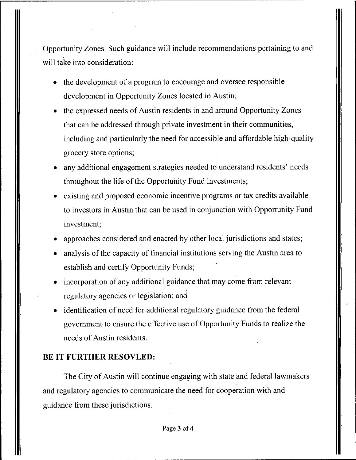opportunity Zones. Such guidance will include recommendations pertaining to and will take into consideration:

- the development of a program to encourage and oversee responsible development in Opportunity Zones located in Austin;
- the expressed needs of Austin residents in and around Opportunity Zones that can be addressed through private investment in their communities, including and particularly the need for accessible and affordable high-quality grocery store options;
- any additional engagement strategies needed to understand residents' needs throughout the life of the Opportunity Fund investments;
- existing and proposed economic incentive programs or tax credits available to investors in Austin that can be used in conjunction with Opportunity Fund investment;
- approaches considered and enacted by other local jurisdictions and states;
- analysis of the capacity of financial institutions serving the Austin area to establish and certify Opportunity Funds;
- incorporation of any additional guidance that may come from relevant regulatory agencies or legislation; and
- identification of need for additional regulatory guidance from the federal government to ensure the effective use of Opportunity Funds to realize the needs of Austin residents.

### **BE IT FURTHER RESOVLED:**

The City of Austin will continue engaging with state and federal lawmakers and regulatory agencies to communicate the need for cooperation with and guidance from these jurisdictions.